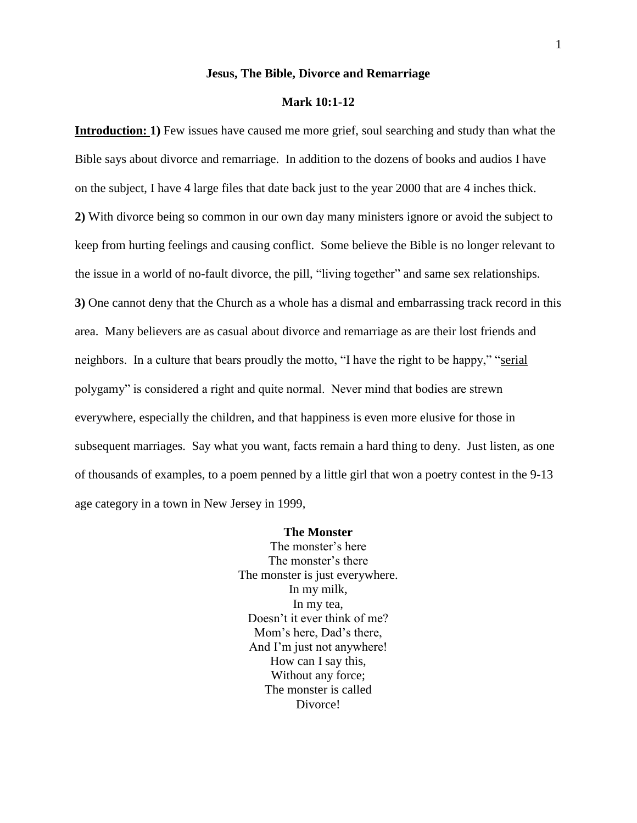#### **Jesus, The Bible, Divorce and Remarriage**

#### **Mark 10:1-12**

**Introduction: 1)** Few issues have caused me more grief, soul searching and study than what the Bible says about divorce and remarriage. In addition to the dozens of books and audios I have on the subject, I have 4 large files that date back just to the year 2000 that are 4 inches thick. **2)** With divorce being so common in our own day many ministers ignore or avoid the subject to keep from hurting feelings and causing conflict. Some believe the Bible is no longer relevant to the issue in a world of no-fault divorce, the pill, "living together" and same sex relationships. **3)** One cannot deny that the Church as a whole has a dismal and embarrassing track record in this area. Many believers are as casual about divorce and remarriage as are their lost friends and neighbors. In a culture that bears proudly the motto, "I have the right to be happy," "serial polygamy" is considered a right and quite normal. Never mind that bodies are strewn everywhere, especially the children, and that happiness is even more elusive for those in subsequent marriages. Say what you want, facts remain a hard thing to deny. Just listen, as one of thousands of examples, to a poem penned by a little girl that won a poetry contest in the 9-13 age category in a town in New Jersey in 1999,

#### **The Monster**

The monster's here The monster's there The monster is just everywhere. In my milk, In my tea, Doesn"t it ever think of me? Mom's here, Dad's there, And I'm just not anywhere! How can I say this, Without any force; The monster is called Divorce!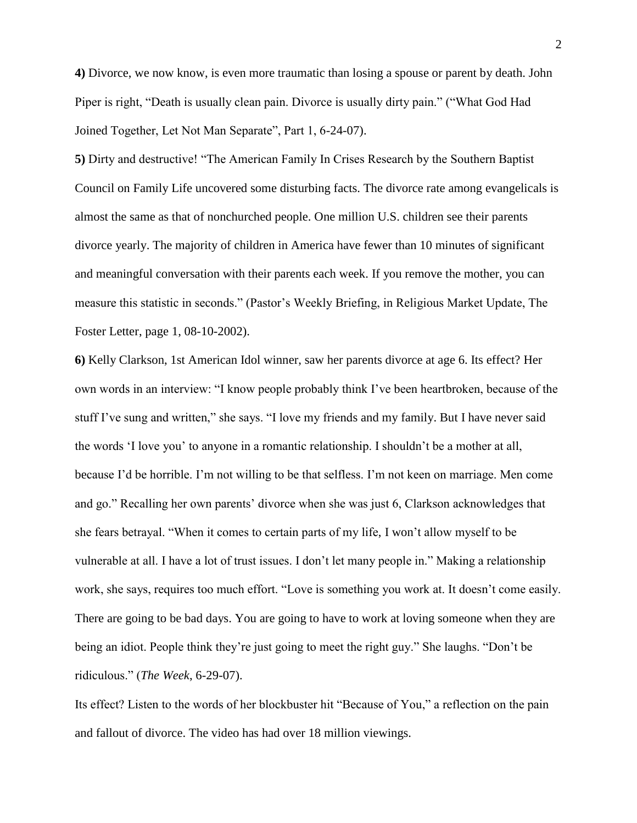**4)** Divorce, we now know, is even more traumatic than losing a spouse or parent by death. John Piper is right, "Death is usually clean pain. Divorce is usually dirty pain." ("What God Had Joined Together, Let Not Man Separate", Part 1, 6-24-07).

**5)** Dirty and destructive! "The American Family In Crises Research by the Southern Baptist Council on Family Life uncovered some disturbing facts. The divorce rate among evangelicals is almost the same as that of nonchurched people. One million U.S. children see their parents divorce yearly. The majority of children in America have fewer than 10 minutes of significant and meaningful conversation with their parents each week. If you remove the mother, you can measure this statistic in seconds." (Pastor"s Weekly Briefing, in Religious Market Update, The Foster Letter, page 1, 08-10-2002).

**6)** Kelly Clarkson, 1st American Idol winner, saw her parents divorce at age 6. Its effect? Her own words in an interview: "I know people probably think I"ve been heartbroken, because of the stuff I"ve sung and written," she says. "I love my friends and my family. But I have never said the words "I love you" to anyone in a romantic relationship. I shouldn"t be a mother at all, because I"d be horrible. I"m not willing to be that selfless. I"m not keen on marriage. Men come and go." Recalling her own parents' divorce when she was just 6, Clarkson acknowledges that she fears betrayal. "When it comes to certain parts of my life, I won"t allow myself to be vulnerable at all. I have a lot of trust issues. I don"t let many people in." Making a relationship work, she says, requires too much effort. "Love is something you work at. It doesn"t come easily. There are going to be bad days. You are going to have to work at loving someone when they are being an idiot. People think they"re just going to meet the right guy." She laughs. "Don"t be ridiculous." (*The Week*, 6-29-07).

Its effect? Listen to the words of her blockbuster hit "Because of You," a reflection on the pain and fallout of divorce. The video has had over 18 million viewings.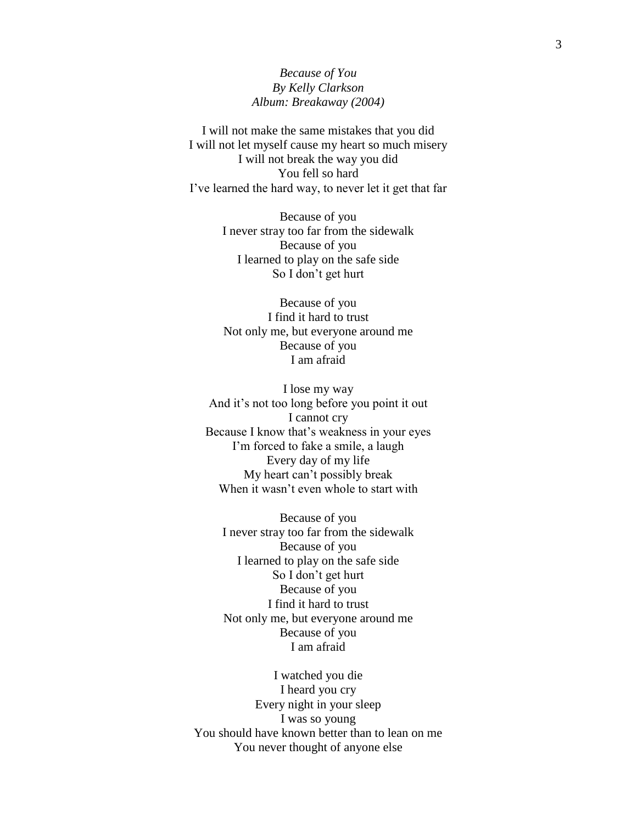*Because of You By Kelly Clarkson Album: Breakaway (2004)*

I will not make the same mistakes that you did I will not let myself cause my heart so much misery I will not break the way you did You fell so hard I"ve learned the hard way, to never let it get that far

> Because of you I never stray too far from the sidewalk Because of you I learned to play on the safe side So I don"t get hurt

> Because of you I find it hard to trust Not only me, but everyone around me Because of you I am afraid

I lose my way And it"s not too long before you point it out I cannot cry Because I know that's weakness in your eyes I'm forced to fake a smile, a laugh Every day of my life My heart can"t possibly break When it wasn"t even whole to start with

Because of you I never stray too far from the sidewalk Because of you I learned to play on the safe side So I don"t get hurt Because of you I find it hard to trust Not only me, but everyone around me Because of you I am afraid

I watched you die I heard you cry Every night in your sleep I was so young You should have known better than to lean on me You never thought of anyone else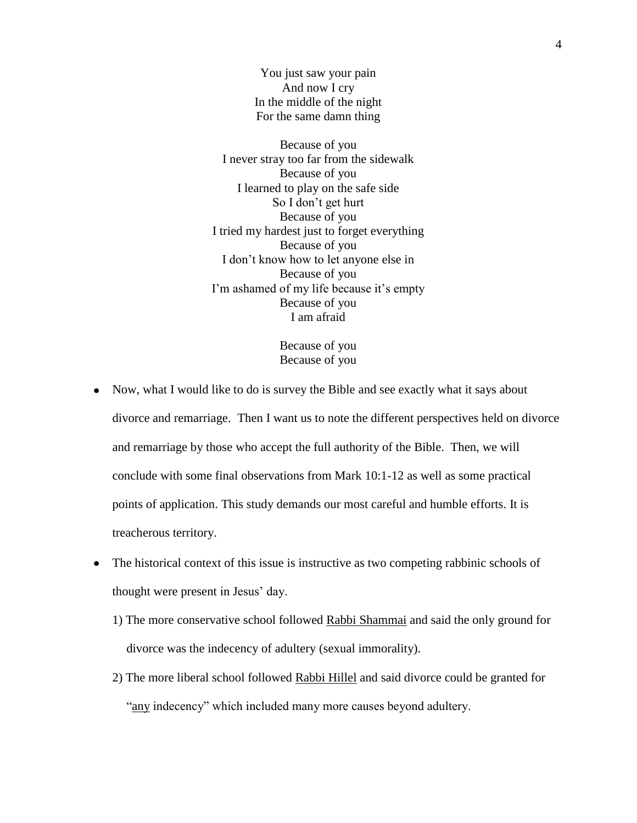You just saw your pain And now I cry In the middle of the night For the same damn thing

Because of you I never stray too far from the sidewalk Because of you I learned to play on the safe side So I don"t get hurt Because of you I tried my hardest just to forget everything Because of you I don"t know how to let anyone else in Because of you I'm ashamed of my life because it's empty Because of you I am afraid

> Because of you Because of you

- Now, what I would like to do is survey the Bible and see exactly what it says about divorce and remarriage. Then I want us to note the different perspectives held on divorce and remarriage by those who accept the full authority of the Bible. Then, we will conclude with some final observations from Mark 10:1-12 as well as some practical points of application. This study demands our most careful and humble efforts. It is treacherous territory.
- The historical context of this issue is instructive as two competing rabbinic schools of  $\bullet$ thought were present in Jesus" day.
	- 1) The more conservative school followed Rabbi Shammai and said the only ground for divorce was the indecency of adultery (sexual immorality).
	- 2) The more liberal school followed Rabbi Hillel and said divorce could be granted for "any indecency" which included many more causes beyond adultery.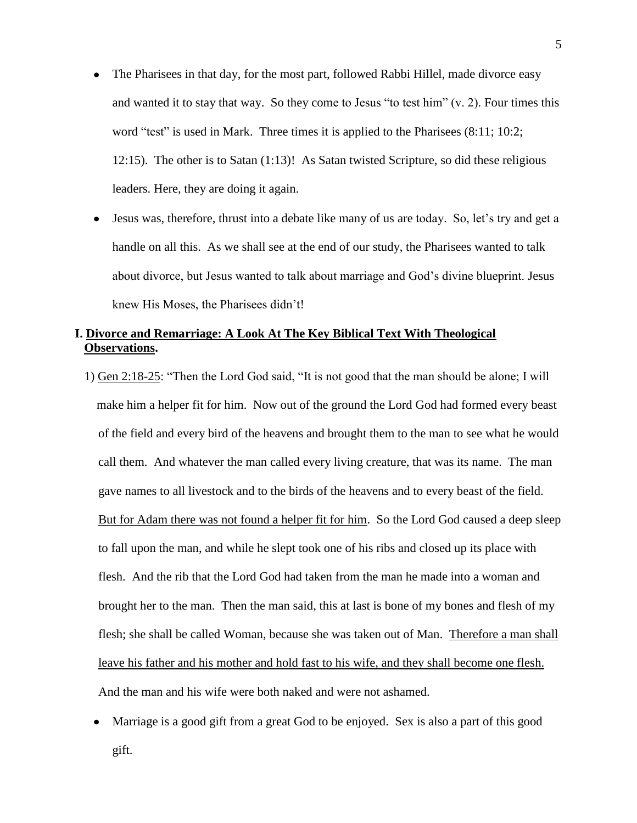- The Pharisees in that day, for the most part, followed Rabbi Hillel, made divorce easy and wanted it to stay that way. So they come to Jesus "to test him" (v. 2). Four times this word "test" is used in Mark. Three times it is applied to the Pharisees  $(8.11; 10.2;$ 12:15). The other is to Satan (1:13)! As Satan twisted Scripture, so did these religious leaders. Here, they are doing it again.
- Jesus was, therefore, thrust into a debate like many of us are today. So, let"s try and get a  $\bullet$ handle on all this. As we shall see at the end of our study, the Pharisees wanted to talk about divorce, but Jesus wanted to talk about marriage and God"s divine blueprint. Jesus knew His Moses, the Pharisees didn"t!

# **I. Divorce and Remarriage: A Look At The Key Biblical Text With Theological Observations.**

- 1) Gen 2:18-25: "Then the Lord God said, "It is not good that the man should be alone; I will make him a helper fit for him. Now out of the ground the Lord God had formed every beast of the field and every bird of the heavens and brought them to the man to see what he would call them. And whatever the man called every living creature, that was its name. The man gave names to all livestock and to the birds of the heavens and to every beast of the field. But for Adam there was not found a helper fit for him. So the Lord God caused a deep sleep to fall upon the man, and while he slept took one of his ribs and closed up its place with flesh. And the rib that the Lord God had taken from the man he made into a woman and brought her to the man. Then the man said, this at last is bone of my bones and flesh of my flesh; she shall be called Woman, because she was taken out of Man. Therefore a man shall leave his father and his mother and hold fast to his wife, and they shall become one flesh. And the man and his wife were both naked and were not ashamed.
	- Marriage is a good gift from a great God to be enjoyed. Sex is also a part of this good gift.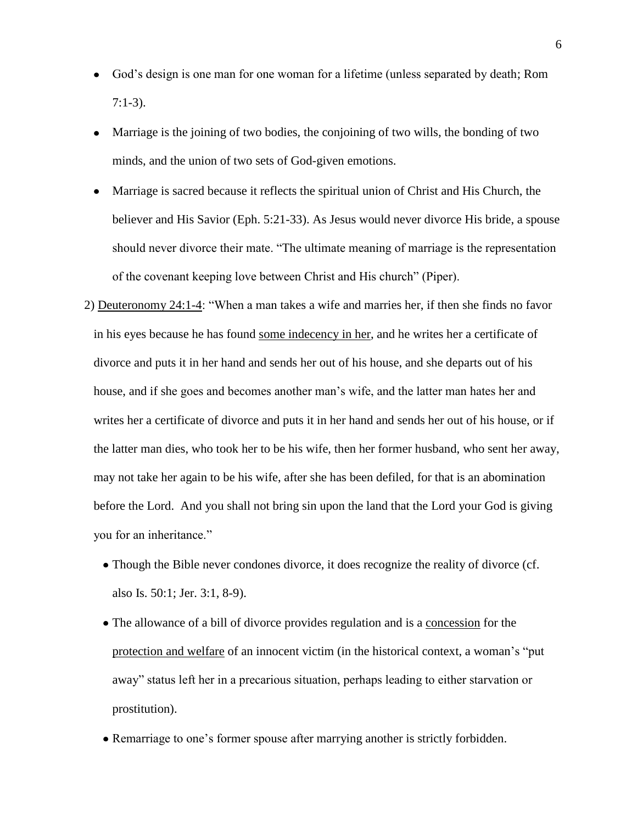- God"s design is one man for one woman for a lifetime (unless separated by death; Rom  $\bullet$  $7:1-3$ ).
- Marriage is the joining of two bodies, the conjoining of two wills, the bonding of two minds, and the union of two sets of God-given emotions.
- Marriage is sacred because it reflects the spiritual union of Christ and His Church, the  $\bullet$ believer and His Savior (Eph. 5:21-33). As Jesus would never divorce His bride, a spouse should never divorce their mate. "The ultimate meaning of marriage is the representation of the covenant keeping love between Christ and His church" (Piper).
- 2) Deuteronomy 24:1-4: "When a man takes a wife and marries her, if then she finds no favor in his eyes because he has found some indecency in her, and he writes her a certificate of divorce and puts it in her hand and sends her out of his house, and she departs out of his house, and if she goes and becomes another man's wife, and the latter man hates her and writes her a certificate of divorce and puts it in her hand and sends her out of his house, or if the latter man dies, who took her to be his wife, then her former husband, who sent her away, may not take her again to be his wife, after she has been defiled, for that is an abomination before the Lord. And you shall not bring sin upon the land that the Lord your God is giving you for an inheritance."
	- Though the Bible never condones divorce, it does recognize the reality of divorce (cf. also Is. 50:1; Jer. 3:1, 8-9).
	- The allowance of a bill of divorce provides regulation and is a concession for the protection and welfare of an innocent victim (in the historical context, a woman"s "put away" status left her in a precarious situation, perhaps leading to either starvation or prostitution).
	- Remarriage to one's former spouse after marrying another is strictly forbidden.

6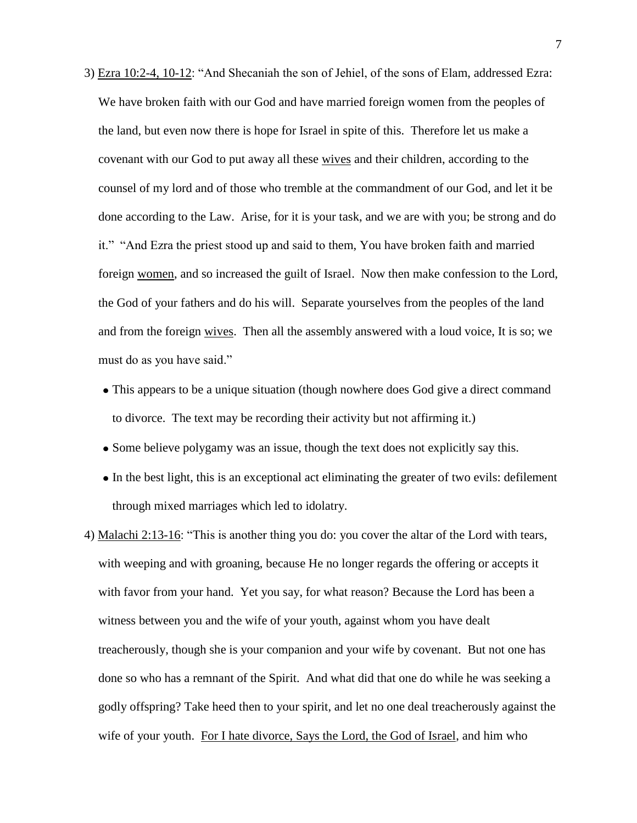- 3) Ezra 10:2-4, 10-12: "And Shecaniah the son of Jehiel, of the sons of Elam, addressed Ezra: We have broken faith with our God and have married foreign women from the peoples of the land, but even now there is hope for Israel in spite of this. Therefore let us make a covenant with our God to put away all these wives and their children, according to the counsel of my lord and of those who tremble at the commandment of our God, and let it be done according to the Law. Arise, for it is your task, and we are with you; be strong and do it." "And Ezra the priest stood up and said to them, You have broken faith and married foreign women, and so increased the guilt of Israel. Now then make confession to the Lord, the God of your fathers and do his will. Separate yourselves from the peoples of the land and from the foreign wives. Then all the assembly answered with a loud voice, It is so; we must do as you have said."
	- This appears to be a unique situation (though nowhere does God give a direct command to divorce. The text may be recording their activity but not affirming it.)
	- Some believe polygamy was an issue, though the text does not explicitly say this.
	- In the best light, this is an exceptional act eliminating the greater of two evils: defilement through mixed marriages which led to idolatry.
- 4) Malachi 2:13-16: "This is another thing you do: you cover the altar of the Lord with tears, with weeping and with groaning, because He no longer regards the offering or accepts it with favor from your hand. Yet you say, for what reason? Because the Lord has been a witness between you and the wife of your youth, against whom you have dealt treacherously, though she is your companion and your wife by covenant. But not one has done so who has a remnant of the Spirit. And what did that one do while he was seeking a godly offspring? Take heed then to your spirit, and let no one deal treacherously against the wife of your youth. For I hate divorce, Says the Lord, the God of Israel, and him who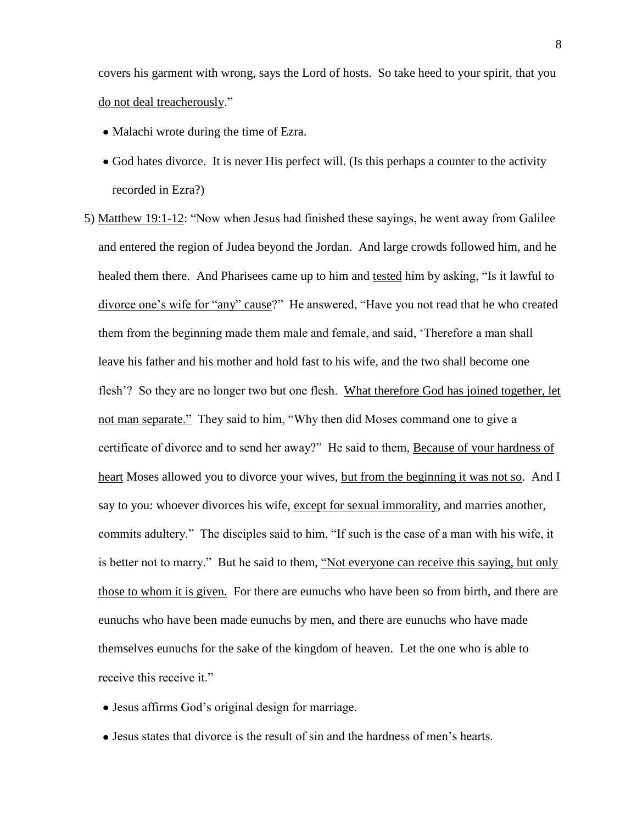covers his garment with wrong, says the Lord of hosts. So take heed to your spirit, that you do not deal treacherously."

- Malachi wrote during the time of Ezra.
- God hates divorce. It is never His perfect will. (Is this perhaps a counter to the activity recorded in Ezra?)
- 5) Matthew 19:1-12: "Now when Jesus had finished these sayings, he went away from Galilee and entered the region of Judea beyond the Jordan. And large crowds followed him, and he healed them there. And Pharisees came up to him and tested him by asking, "Is it lawful to divorce one"s wife for "any" cause?" He answered, "Have you not read that he who created them from the beginning made them male and female, and said, "Therefore a man shall leave his father and his mother and hold fast to his wife, and the two shall become one flesh"? So they are no longer two but one flesh. What therefore God has joined together, let not man separate." They said to him, "Why then did Moses command one to give a certificate of divorce and to send her away?" He said to them, Because of your hardness of heart Moses allowed you to divorce your wives, but from the beginning it was not so. And I say to you: whoever divorces his wife, except for sexual immorality, and marries another, commits adultery." The disciples said to him, "If such is the case of a man with his wife, it is better not to marry." But he said to them, "Not everyone can receive this saying, but only those to whom it is given. For there are eunuchs who have been so from birth, and there are eunuchs who have been made eunuchs by men, and there are eunuchs who have made themselves eunuchs for the sake of the kingdom of heaven. Let the one who is able to receive this receive it."
	- Jesus affirms God"s original design for marriage.
	- Jesus states that divorce is the result of sin and the hardness of men"s hearts.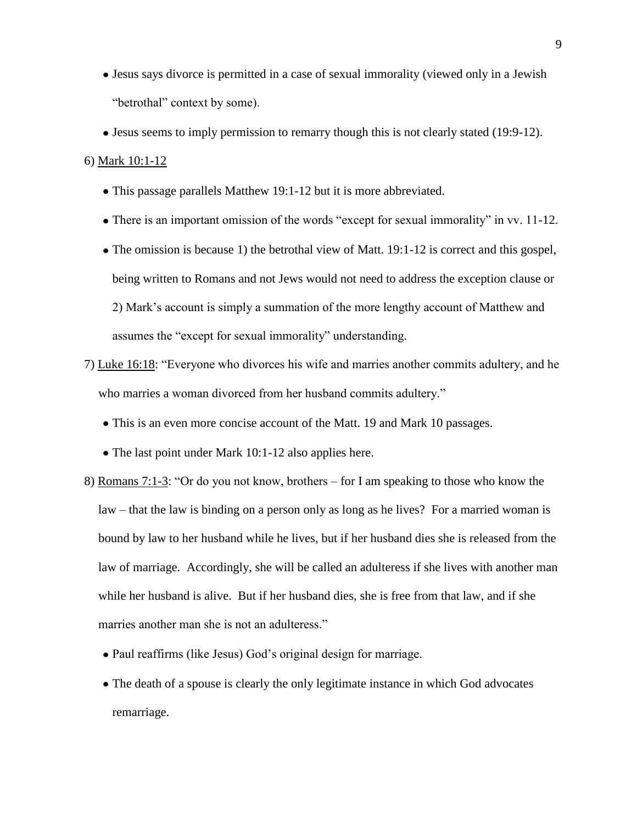- Jesus says divorce is permitted in a case of sexual immorality (viewed only in a Jewish "betrothal" context by some).
- Jesus seems to imply permission to remarry though this is not clearly stated (19:9-12).

## 6) Mark 10:1-12

- This passage parallels Matthew 19:1-12 but it is more abbreviated.
- There is an important omission of the words "except for sexual immorality" in vv. 11-12.
- The omission is because 1) the betrothal view of Matt. 19:1-12 is correct and this gospel, being written to Romans and not Jews would not need to address the exception clause or 2) Mark"s account is simply a summation of the more lengthy account of Matthew and assumes the "except for sexual immorality" understanding.
- 7) Luke 16:18: "Everyone who divorces his wife and marries another commits adultery, and he who marries a woman divorced from her husband commits adultery."
	- This is an even more concise account of the Matt. 19 and Mark 10 passages.
	- The last point under Mark 10:1-12 also applies here.
- 8) Romans 7:1-3: "Or do you not know, brothers for I am speaking to those who know the law – that the law is binding on a person only as long as he lives? For a married woman is bound by law to her husband while he lives, but if her husband dies she is released from the law of marriage. Accordingly, she will be called an adulteress if she lives with another man while her husband is alive. But if her husband dies, she is free from that law, and if she marries another man she is not an adulteress."
	- Paul reaffirms (like Jesus) God's original design for marriage.
	- The death of a spouse is clearly the only legitimate instance in which God advocates remarriage.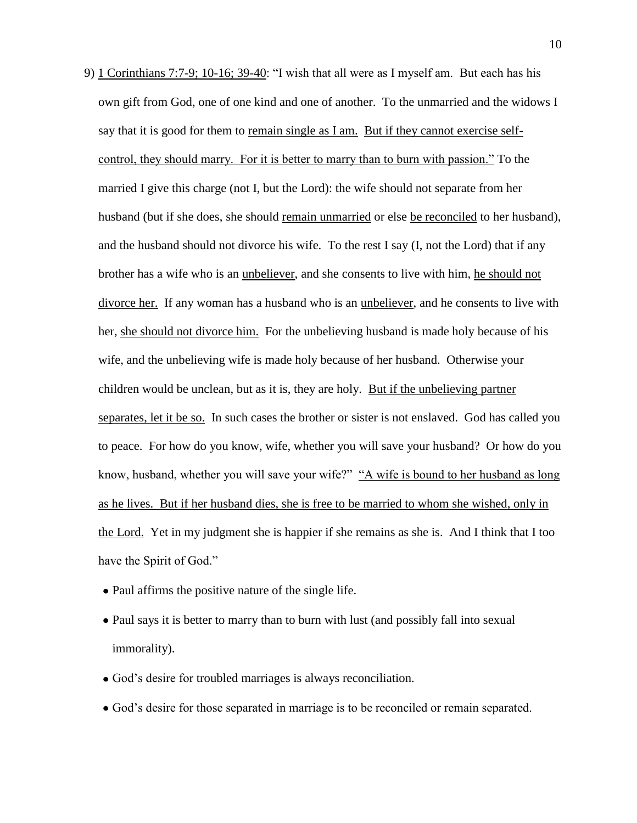- 9) 1 Corinthians 7:7-9; 10-16; 39-40: "I wish that all were as I myself am. But each has his own gift from God, one of one kind and one of another. To the unmarried and the widows I say that it is good for them to remain single as I am. But if they cannot exercise selfcontrol, they should marry. For it is better to marry than to burn with passion." To the married I give this charge (not I, but the Lord): the wife should not separate from her husband (but if she does, she should remain unmarried or else be reconciled to her husband), and the husband should not divorce his wife. To the rest I say (I, not the Lord) that if any brother has a wife who is an unbeliever, and she consents to live with him, he should not divorce her. If any woman has a husband who is an unbeliever, and he consents to live with her, she should not divorce him. For the unbelieving husband is made holy because of his wife, and the unbelieving wife is made holy because of her husband. Otherwise your children would be unclean, but as it is, they are holy. But if the unbelieving partner separates, let it be so. In such cases the brother or sister is not enslaved. God has called you to peace. For how do you know, wife, whether you will save your husband? Or how do you know, husband, whether you will save your wife?" "A wife is bound to her husband as long as he lives. But if her husband dies, she is free to be married to whom she wished, only in the Lord. Yet in my judgment she is happier if she remains as she is. And I think that I too have the Spirit of God."
	- Paul affirms the positive nature of the single life.
	- Paul says it is better to marry than to burn with lust (and possibly fall into sexual immorality).
	- God's desire for troubled marriages is always reconciliation.
	- God"s desire for those separated in marriage is to be reconciled or remain separated.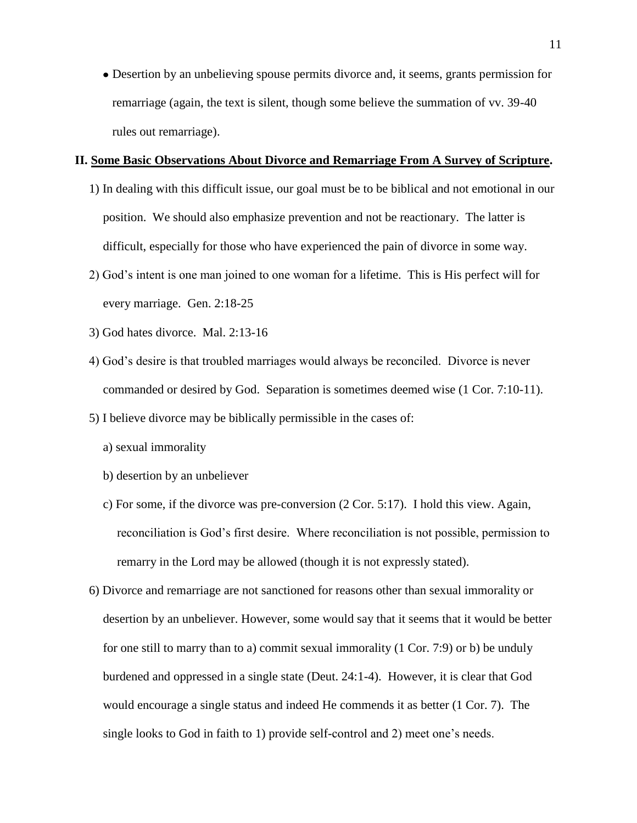Desertion by an unbelieving spouse permits divorce and, it seems, grants permission for remarriage (again, the text is silent, though some believe the summation of vv. 39-40 rules out remarriage).

# **II. Some Basic Observations About Divorce and Remarriage From A Survey of Scripture.**

- 1) In dealing with this difficult issue, our goal must be to be biblical and not emotional in our position. We should also emphasize prevention and not be reactionary. The latter is difficult, especially for those who have experienced the pain of divorce in some way.
- 2) God"s intent is one man joined to one woman for a lifetime. This is His perfect will for every marriage. Gen. 2:18-25
- 3) God hates divorce. Mal. 2:13-16
- 4) God"s desire is that troubled marriages would always be reconciled. Divorce is never commanded or desired by God. Separation is sometimes deemed wise (1 Cor. 7:10-11).
- 5) I believe divorce may be biblically permissible in the cases of:
	- a) sexual immorality
	- b) desertion by an unbeliever
	- c) For some, if the divorce was pre-conversion (2 Cor. 5:17). I hold this view. Again, reconciliation is God's first desire. Where reconciliation is not possible, permission to remarry in the Lord may be allowed (though it is not expressly stated).
- 6) Divorce and remarriage are not sanctioned for reasons other than sexual immorality or desertion by an unbeliever. However, some would say that it seems that it would be better for one still to marry than to a) commit sexual immorality (1 Cor. 7:9) or b) be unduly burdened and oppressed in a single state (Deut. 24:1-4). However, it is clear that God would encourage a single status and indeed He commends it as better (1 Cor. 7). The single looks to God in faith to 1) provide self-control and 2) meet one"s needs.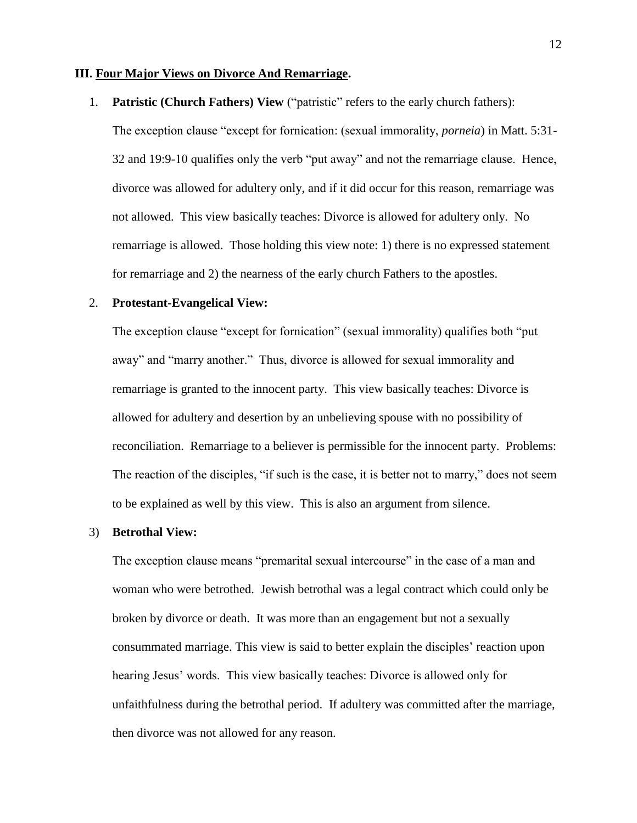#### **III. Four Major Views on Divorce And Remarriage.**

#### 1. **Patristic (Church Fathers) View** ("patristic" refers to the early church fathers):

The exception clause "except for fornication: (sexual immorality, *porneia*) in Matt. 5:31- 32 and 19:9-10 qualifies only the verb "put away" and not the remarriage clause. Hence, divorce was allowed for adultery only, and if it did occur for this reason, remarriage was not allowed. This view basically teaches: Divorce is allowed for adultery only. No remarriage is allowed. Those holding this view note: 1) there is no expressed statement for remarriage and 2) the nearness of the early church Fathers to the apostles.

## 2. **Protestant-Evangelical View:**

The exception clause "except for fornication" (sexual immorality) qualifies both "put away" and "marry another." Thus, divorce is allowed for sexual immorality and remarriage is granted to the innocent party. This view basically teaches: Divorce is allowed for adultery and desertion by an unbelieving spouse with no possibility of reconciliation. Remarriage to a believer is permissible for the innocent party. Problems: The reaction of the disciples, "if such is the case, it is better not to marry," does not seem to be explained as well by this view. This is also an argument from silence.

#### 3) **Betrothal View:**

The exception clause means "premarital sexual intercourse" in the case of a man and woman who were betrothed. Jewish betrothal was a legal contract which could only be broken by divorce or death. It was more than an engagement but not a sexually consummated marriage. This view is said to better explain the disciples" reaction upon hearing Jesus' words. This view basically teaches: Divorce is allowed only for unfaithfulness during the betrothal period. If adultery was committed after the marriage, then divorce was not allowed for any reason.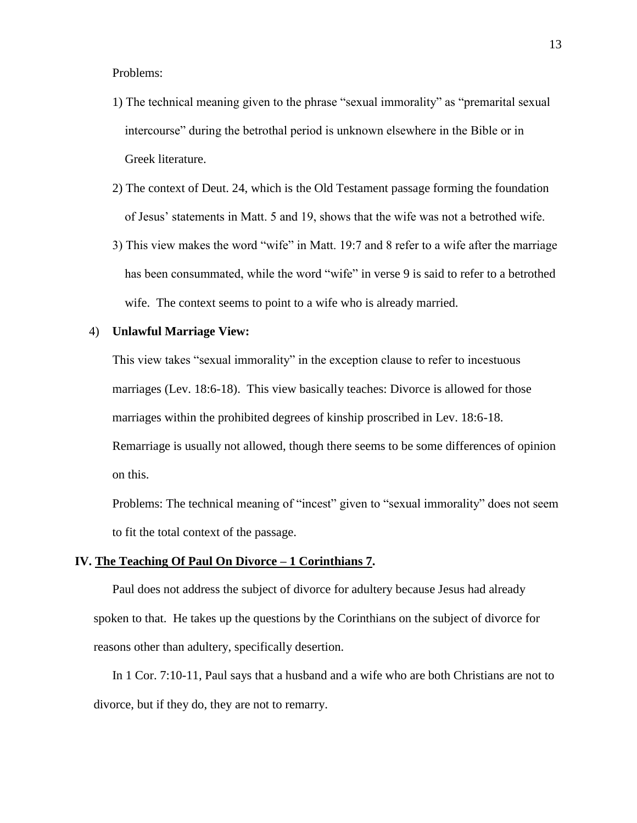Problems:

- 1) The technical meaning given to the phrase "sexual immorality" as "premarital sexual intercourse" during the betrothal period is unknown elsewhere in the Bible or in Greek literature.
- 2) The context of Deut. 24, which is the Old Testament passage forming the foundation of Jesus" statements in Matt. 5 and 19, shows that the wife was not a betrothed wife.
- 3) This view makes the word "wife" in Matt. 19:7 and 8 refer to a wife after the marriage has been consummated, while the word "wife" in verse 9 is said to refer to a betrothed wife. The context seems to point to a wife who is already married.

### 4) **Unlawful Marriage View:**

This view takes "sexual immorality" in the exception clause to refer to incestuous marriages (Lev. 18:6-18). This view basically teaches: Divorce is allowed for those marriages within the prohibited degrees of kinship proscribed in Lev. 18:6-18. Remarriage is usually not allowed, though there seems to be some differences of opinion on this.

Problems: The technical meaning of "incest" given to "sexual immorality" does not seem to fit the total context of the passage.

# **IV. The Teaching Of Paul On Divorce – 1 Corinthians 7.**

Paul does not address the subject of divorce for adultery because Jesus had already spoken to that. He takes up the questions by the Corinthians on the subject of divorce for reasons other than adultery, specifically desertion.

In 1 Cor. 7:10-11, Paul says that a husband and a wife who are both Christians are not to divorce, but if they do, they are not to remarry.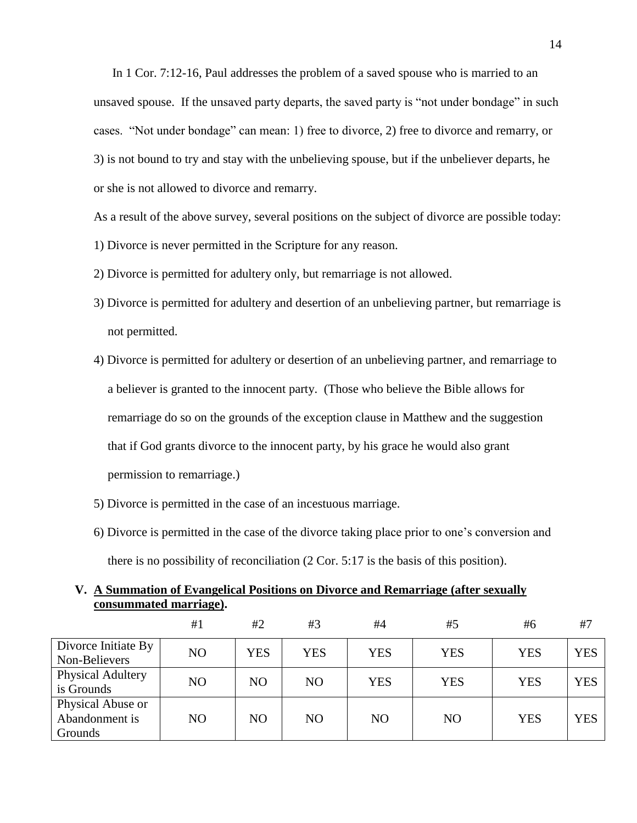In 1 Cor. 7:12-16, Paul addresses the problem of a saved spouse who is married to an unsaved spouse. If the unsaved party departs, the saved party is "not under bondage" in such cases. "Not under bondage" can mean: 1) free to divorce, 2) free to divorce and remarry, or 3) is not bound to try and stay with the unbelieving spouse, but if the unbeliever departs, he or she is not allowed to divorce and remarry.

As a result of the above survey, several positions on the subject of divorce are possible today:

- 1) Divorce is never permitted in the Scripture for any reason.
- 2) Divorce is permitted for adultery only, but remarriage is not allowed.
- 3) Divorce is permitted for adultery and desertion of an unbelieving partner, but remarriage is not permitted.
- 4) Divorce is permitted for adultery or desertion of an unbelieving partner, and remarriage to a believer is granted to the innocent party. (Those who believe the Bible allows for remarriage do so on the grounds of the exception clause in Matthew and the suggestion that if God grants divorce to the innocent party, by his grace he would also grant permission to remarriage.)
- 5) Divorce is permitted in the case of an incestuous marriage.
- 6) Divorce is permitted in the case of the divorce taking place prior to one"s conversion and there is no possibility of reconciliation (2 Cor. 5:17 is the basis of this position).

# **V. A Summation of Evangelical Positions on Divorce and Remarriage (after sexually consummated marriage).**

|                                                | #1             | #2             | #3             | #4             | #5             | #6         | #7         |
|------------------------------------------------|----------------|----------------|----------------|----------------|----------------|------------|------------|
| Divorce Initiate By<br>Non-Believers           | N <sub>O</sub> | <b>YES</b>     | <b>YES</b>     | <b>YES</b>     | <b>YES</b>     | <b>YES</b> | <b>YES</b> |
| Physical Adultery<br>is Grounds                | N <sub>O</sub> | N <sub>O</sub> | N <sub>O</sub> | <b>YES</b>     | <b>YES</b>     | <b>YES</b> | <b>YES</b> |
| Physical Abuse or<br>Abandonment is<br>Grounds | N <sub>O</sub> | N <sub>O</sub> | N <sub>O</sub> | N <sub>O</sub> | N <sub>O</sub> | <b>YES</b> | <b>YES</b> |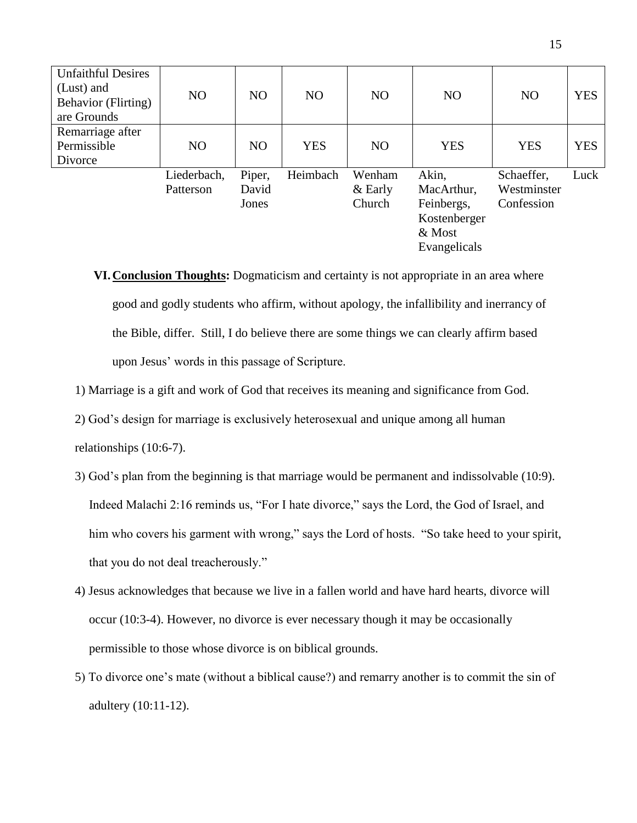| <b>Unfaithful Desires</b><br>(Lust) and<br>Behavior (Flirting)<br>are Grounds | NO                       | NO                       | NO         | N <sub>O</sub>                | N <sub>O</sub>                                                              | N <sub>O</sub>                          | <b>YES</b> |
|-------------------------------------------------------------------------------|--------------------------|--------------------------|------------|-------------------------------|-----------------------------------------------------------------------------|-----------------------------------------|------------|
| Remarriage after<br>Permissible<br>Divorce                                    | N <sub>O</sub>           | NO                       | <b>YES</b> | N <sub>O</sub>                | <b>YES</b>                                                                  | <b>YES</b>                              | <b>YES</b> |
|                                                                               | Liederbach,<br>Patterson | Piper,<br>David<br>Jones | Heimbach   | Wenham<br>$&$ Early<br>Church | Akin,<br>MacArthur,<br>Feinbergs,<br>Kostenberger<br>& Most<br>Evangelicals | Schaeffer,<br>Westminster<br>Confession | Luck       |

- **VI.Conclusion Thoughts:** Dogmaticism and certainty is not appropriate in an area where good and godly students who affirm, without apology, the infallibility and inerrancy of the Bible, differ. Still, I do believe there are some things we can clearly affirm based upon Jesus" words in this passage of Scripture.
- 1) Marriage is a gift and work of God that receives its meaning and significance from God.
- 2) God"s design for marriage is exclusively heterosexual and unique among all human

relationships (10:6-7).

- 3) God"s plan from the beginning is that marriage would be permanent and indissolvable (10:9). Indeed Malachi 2:16 reminds us, "For I hate divorce," says the Lord, the God of Israel, and him who covers his garment with wrong," says the Lord of hosts. "So take heed to your spirit, that you do not deal treacherously."
- 4) Jesus acknowledges that because we live in a fallen world and have hard hearts, divorce will occur (10:3-4). However, no divorce is ever necessary though it may be occasionally permissible to those whose divorce is on biblical grounds.
- 5) To divorce one"s mate (without a biblical cause?) and remarry another is to commit the sin of adultery (10:11-12).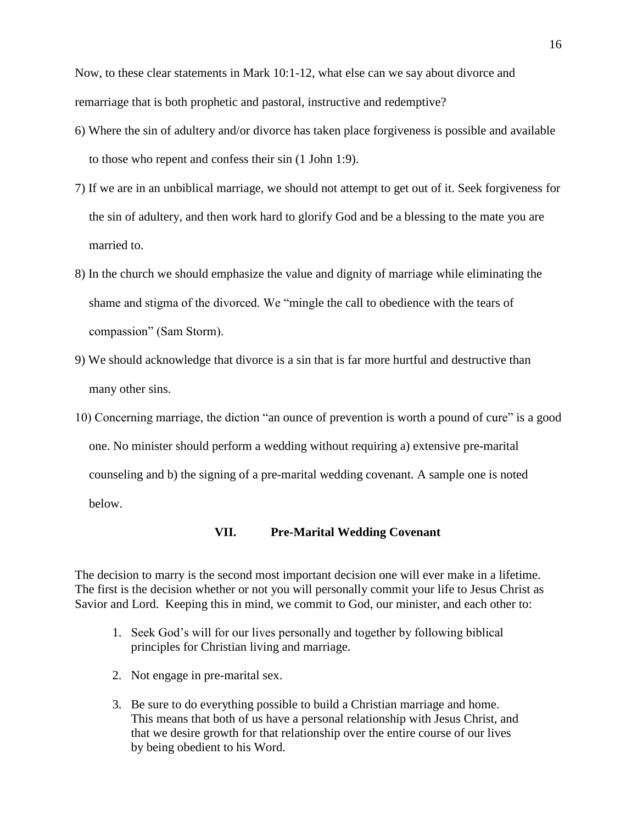Now, to these clear statements in Mark 10:1-12, what else can we say about divorce and remarriage that is both prophetic and pastoral, instructive and redemptive?

- 6) Where the sin of adultery and/or divorce has taken place forgiveness is possible and available to those who repent and confess their sin (1 John 1:9).
- 7) If we are in an unbiblical marriage, we should not attempt to get out of it. Seek forgiveness for the sin of adultery, and then work hard to glorify God and be a blessing to the mate you are married to.
- 8) In the church we should emphasize the value and dignity of marriage while eliminating the shame and stigma of the divorced. We "mingle the call to obedience with the tears of compassion" (Sam Storm).
- 9) We should acknowledge that divorce is a sin that is far more hurtful and destructive than many other sins.
- 10) Concerning marriage, the diction "an ounce of prevention is worth a pound of cure" is a good one. No minister should perform a wedding without requiring a) extensive pre-marital counseling and b) the signing of a pre-marital wedding covenant. A sample one is noted below.

## **VII. Pre-Marital Wedding Covenant**

The decision to marry is the second most important decision one will ever make in a lifetime. The first is the decision whether or not you will personally commit your life to Jesus Christ as Savior and Lord. Keeping this in mind, we commit to God, our minister, and each other to:

- 1. Seek God"s will for our lives personally and together by following biblical principles for Christian living and marriage.
- 2. Not engage in pre-marital sex.
- 3. Be sure to do everything possible to build a Christian marriage and home. This means that both of us have a personal relationship with Jesus Christ, and that we desire growth for that relationship over the entire course of our lives by being obedient to his Word.